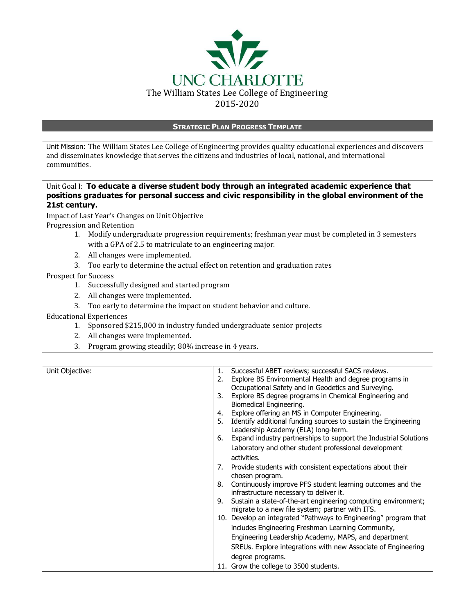

#### **STRATEGIC PLAN PROGRESS TEMPLATE**

Unit Mission: The William States Lee College of Engineering provides quality educational experiences and discovers and disseminates knowledge that serves the citizens and industries of local, national, and international communities.

## Unit Goal I: **To educate a diverse student body through an integrated academic experience that positions graduates for personal success and civic responsibility in the global environment of the 21st century.**

Impact of Last Year's Changes on Unit Objective Progression and Retention

- 1. Modify undergraduate progression requirements; freshman year must be completed in 3 semesters with a GPA of 2.5 to matriculate to an engineering major.
- 2. All changes were implemented.
- 3. Too early to determine the actual effect on retention and graduation rates

Prospect for Success

- 1. Successfully designed and started program
- 2. All changes were implemented.
- 3. Too early to determine the impact on student behavior and culture.

Educational Experiences

- 1. Sponsored \$215,000 in industry funded undergraduate senior projects
- 2. All changes were implemented.
- 3. Program growing steadily; 80% increase in 4 years.

| Unit Objective: | 1. | Successful ABET reviews; successful SACS reviews.                                                     |
|-----------------|----|-------------------------------------------------------------------------------------------------------|
|                 | 2. | Explore BS Environmental Health and degree programs in                                                |
|                 |    | Occupational Safety and in Geodetics and Surveying.                                                   |
|                 | 3. | Explore BS degree programs in Chemical Engineering and                                                |
|                 |    | Biomedical Engineering.                                                                               |
|                 | 4. | Explore offering an MS in Computer Engineering.                                                       |
|                 | 5. | Identify additional funding sources to sustain the Engineering<br>Leadership Academy (ELA) long-term. |
|                 | 6. | Expand industry partnerships to support the Industrial Solutions                                      |
|                 |    | Laboratory and other student professional development                                                 |
|                 |    | activities.                                                                                           |
|                 | 7. | Provide students with consistent expectations about their                                             |
|                 |    | chosen program.                                                                                       |
|                 | 8. | Continuously improve PFS student learning outcomes and the                                            |
|                 |    | infrastructure necessary to deliver it.                                                               |
|                 | 9. | Sustain a state-of-the-art engineering computing environment;                                         |
|                 |    | migrate to a new file system; partner with ITS.                                                       |
|                 |    | 10. Develop an integrated "Pathways to Engineering" program that                                      |
|                 |    | includes Engineering Freshman Learning Community,                                                     |
|                 |    | Engineering Leadership Academy, MAPS, and department                                                  |
|                 |    | SREUs. Explore integrations with new Associate of Engineering                                         |
|                 |    | degree programs.                                                                                      |
|                 |    | 11. Grow the college to 3500 students.                                                                |
|                 |    |                                                                                                       |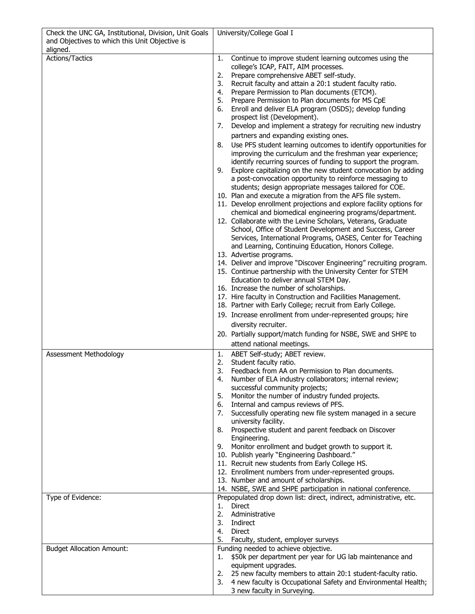| Check the UNC GA, Institutional, Division, Unit Goals      | University/College Goal I                                                                                                           |
|------------------------------------------------------------|-------------------------------------------------------------------------------------------------------------------------------------|
| and Objectives to which this Unit Objective is<br>aligned. |                                                                                                                                     |
| Actions/Tactics                                            | 1.<br>Continue to improve student learning outcomes using the                                                                       |
|                                                            | college's ICAP, FAIT, AIM processes.<br>Prepare comprehensive ABET self-study.                                                      |
|                                                            | 2.<br>Recruit faculty and attain a 20:1 student faculty ratio.<br>3.                                                                |
|                                                            | 4.<br>Prepare Permission to Plan documents (ETCM).                                                                                  |
|                                                            | 5.<br>Prepare Permission to Plan documents for MS CpE                                                                               |
|                                                            | Enroll and deliver ELA program (OSDS); develop funding<br>6.                                                                        |
|                                                            | prospect list (Development).<br>7.<br>Develop and implement a strategy for recruiting new industry                                  |
|                                                            | partners and expanding existing ones.                                                                                               |
|                                                            | Use PFS student learning outcomes to identify opportunities for<br>8.                                                               |
|                                                            | improving the curriculum and the freshman year experience;                                                                          |
|                                                            | identify recurring sources of funding to support the program.                                                                       |
|                                                            | Explore capitalizing on the new student convocation by adding<br>9.                                                                 |
|                                                            | a post-convocation opportunity to reinforce messaging to<br>students; design appropriate messages tailored for COE.                 |
|                                                            | 10. Plan and execute a migration from the AFS file system.                                                                          |
|                                                            | 11. Develop enrollment projections and explore facility options for                                                                 |
|                                                            | chemical and biomedical engineering programs/department.                                                                            |
|                                                            | 12. Collaborate with the Levine Scholars, Veterans, Graduate<br>School, Office of Student Development and Success, Career           |
|                                                            | Services, International Programs, OASES, Center for Teaching                                                                        |
|                                                            | and Learning, Continuing Education, Honors College.                                                                                 |
|                                                            | 13. Advertise programs.                                                                                                             |
|                                                            | 14. Deliver and improve "Discover Engineering" recruiting program.<br>15. Continue partnership with the University Center for STEM  |
|                                                            | Education to deliver annual STEM Day.                                                                                               |
|                                                            | 16. Increase the number of scholarships.                                                                                            |
|                                                            | 17. Hire faculty in Construction and Facilities Management.                                                                         |
|                                                            | 18. Partner with Early College; recruit from Early College.<br>19. Increase enrollment from under-represented groups; hire          |
|                                                            | diversity recruiter.                                                                                                                |
|                                                            | 20. Partially support/match funding for NSBE, SWE and SHPE to                                                                       |
|                                                            | attend national meetings.                                                                                                           |
| Assessment Methodology                                     | 1.<br>ABET Self-study; ABET review.                                                                                                 |
|                                                            | Student faculty ratio.<br>2.<br>3.<br>Feedback from AA on Permission to Plan documents.                                             |
|                                                            | Number of ELA industry collaborators; internal review;<br>4.                                                                        |
|                                                            | successful community projects;                                                                                                      |
|                                                            | Monitor the number of industry funded projects.<br>5.                                                                               |
|                                                            | Internal and campus reviews of PFS.<br>6.<br>Successfully operating new file system managed in a secure<br>7.                       |
|                                                            | university facility.                                                                                                                |
|                                                            | Prospective student and parent feedback on Discover<br>8.                                                                           |
|                                                            | Engineering.                                                                                                                        |
|                                                            | Monitor enrollment and budget growth to support it.<br>9.<br>10. Publish yearly "Engineering Dashboard."                            |
|                                                            | 11. Recruit new students from Early College HS.                                                                                     |
|                                                            | 12. Enrollment numbers from under-represented groups.                                                                               |
|                                                            | 13. Number and amount of scholarships.                                                                                              |
| Type of Evidence:                                          | 14. NSBE, SWE and SHPE participation in national conference.<br>Prepopulated drop down list: direct, indirect, administrative, etc. |
|                                                            | <b>Direct</b><br>1.                                                                                                                 |
|                                                            | 2.<br>Administrative                                                                                                                |
|                                                            | 3.<br>Indirect<br>Direct<br>4.                                                                                                      |
|                                                            | 5.<br>Faculty, student, employer surveys                                                                                            |
| <b>Budget Allocation Amount:</b>                           | Funding needed to achieve objective.                                                                                                |
|                                                            | \$50k per department per year for UG lab maintenance and<br>1.                                                                      |
|                                                            | equipment upgrades.<br>25 new faculty members to attain 20:1 student-faculty ratio.                                                 |
|                                                            | 2.<br>3.<br>4 new faculty is Occupational Safety and Environmental Health;                                                          |
|                                                            | 3 new faculty in Surveying.                                                                                                         |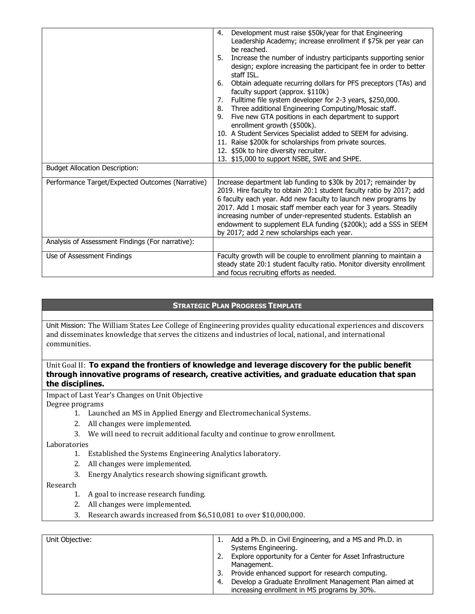|                                                  | Development must raise \$50k/year for that Engineering<br>4.                                                                                                                                                                                                                                                                                                                                                                                                  |
|--------------------------------------------------|---------------------------------------------------------------------------------------------------------------------------------------------------------------------------------------------------------------------------------------------------------------------------------------------------------------------------------------------------------------------------------------------------------------------------------------------------------------|
|                                                  | Leadership Academy; increase enrollment if \$75k per year can<br>be reached.                                                                                                                                                                                                                                                                                                                                                                                  |
|                                                  | Increase the number of industry participants supporting senior<br>5.<br>design; explore increasing the participant fee in order to better<br>staff ISL.                                                                                                                                                                                                                                                                                                       |
|                                                  | Obtain adequate recurring dollars for PFS preceptors (TAs) and<br>6.<br>faculty support (approx. \$110k)                                                                                                                                                                                                                                                                                                                                                      |
|                                                  | Fulltime file system developer for 2-3 years, \$250,000.<br>7.<br>Three additional Engineering Computing/Mosaic staff.<br>8.                                                                                                                                                                                                                                                                                                                                  |
|                                                  | Five new GTA positions in each department to support<br>9.<br>enrollment growth (\$500k).                                                                                                                                                                                                                                                                                                                                                                     |
|                                                  | 10. A Student Services Specialist added to SEEM for advising.                                                                                                                                                                                                                                                                                                                                                                                                 |
|                                                  | 11. Raise \$200k for scholarships from private sources.                                                                                                                                                                                                                                                                                                                                                                                                       |
|                                                  | 12. \$50k to hire diversity recruiter.                                                                                                                                                                                                                                                                                                                                                                                                                        |
|                                                  | 13. \$15,000 to support NSBE, SWE and SHPE.                                                                                                                                                                                                                                                                                                                                                                                                                   |
| <b>Budget Allocation Description:</b>            |                                                                                                                                                                                                                                                                                                                                                                                                                                                               |
| Performance Target/Expected Outcomes (Narrative) | Increase department lab funding to \$30k by 2017; remainder by<br>2019. Hire faculty to obtain 20:1 student faculty ratio by 2017; add<br>6 faculty each year. Add new faculty to launch new programs by<br>2017. Add 1 mosaic staff member each year for 3 years. Steadily<br>increasing number of under-represented students. Establish an<br>endowment to supplement ELA funding (\$200k); add a SSS in SEEM<br>by 2017; add 2 new scholarships each year. |
| Analysis of Assessment Findings (For narrative): |                                                                                                                                                                                                                                                                                                                                                                                                                                                               |
| Use of Assessment Findings                       | Faculty growth will be couple to enrollment planning to maintain a<br>steady state 20:1 student faculty ratio. Monitor diversity enrollment<br>and focus recruiting efforts as needed.                                                                                                                                                                                                                                                                        |

# **STRATEGIC PLAN PROGRESS TEMPLATE**

Unit Mission: The William States Lee College of Engineering provides quality educational experiences and discovers and disseminates knowledge that serves the citizens and industries of local, national, and international communities.

### Unit Goal II: To expand the frontiers of knowledge and leverage discovery for the public benefit **through innovative programs of research, creative activities, and graduate education that span the disciplines.**

Impact of Last Year's Changes on Unit Objective Degree programs

- 1. Launched an MS in Applied Energy and Electromechanical Systems.
- 2. All changes were implemented.
- 3. We will need to recruit additional faculty and continue to grow enrollment.

Laboratories

- 1. Established the Systems Engineering Analytics laboratory.
- 2. All changes were implemented.
- 3. Energy Analytics research showing significant growth.

Research

- 1. A goal to increase research funding.
- 2. All changes were implemented.
- 3. Research awards increased from \$6,510,081 to over \$10,000,000.

| Unit Objective: |     | Add a Ph.D. in Civil Engineering, and a MS and Ph.D. in<br>Systems Engineering. |
|-----------------|-----|---------------------------------------------------------------------------------|
|                 |     | Explore opportunity for a Center for Asset Infrastructure<br>Management.        |
|                 | 3.  | Provide enhanced support for research computing.                                |
|                 | -4. | Develop a Graduate Enrollment Management Plan aimed at                          |
|                 |     | increasing enrollment in MS programs by 30%.                                    |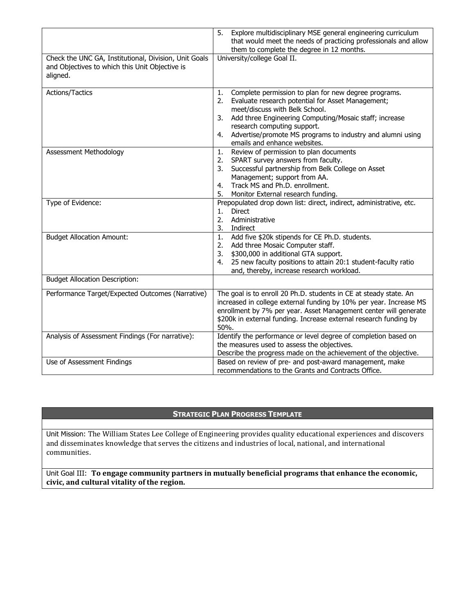| Check the UNC GA, Institutional, Division, Unit Goals<br>and Objectives to which this Unit Objective is | Explore multidisciplinary MSE general engineering curriculum<br>5.<br>that would meet the needs of practicing professionals and allow<br>them to complete the degree in 12 months.<br>University/college Goal II.                                                                                                                                          |  |
|---------------------------------------------------------------------------------------------------------|------------------------------------------------------------------------------------------------------------------------------------------------------------------------------------------------------------------------------------------------------------------------------------------------------------------------------------------------------------|--|
| aligned.                                                                                                |                                                                                                                                                                                                                                                                                                                                                            |  |
| Actions/Tactics                                                                                         | Complete permission to plan for new degree programs.<br>1.<br>Evaluate research potential for Asset Management;<br>2.<br>meet/discuss with Belk School.<br>Add three Engineering Computing/Mosaic staff; increase<br>3.<br>research computing support.<br>Advertise/promote MS programs to industry and alumni using<br>4.<br>emails and enhance websites. |  |
| Assessment Methodology                                                                                  | Review of permission to plan documents<br>1.<br>SPART survey answers from faculty.<br>2.<br>Successful partnership from Belk College on Asset<br>3.<br>Management; support from AA.<br>Track MS and Ph.D. enrollment.<br>4.<br>5.<br>Monitor External research funding.                                                                                    |  |
| Type of Evidence:                                                                                       | Prepopulated drop down list: direct, indirect, administrative, etc.<br><b>Direct</b><br>1.<br>2.<br>Administrative<br>3.<br>Indirect                                                                                                                                                                                                                       |  |
| <b>Budget Allocation Amount:</b>                                                                        | Add five \$20k stipends for CE Ph.D. students.<br>1.<br>2.<br>Add three Mosaic Computer staff.<br>\$300,000 in additional GTA support.<br>3.<br>25 new faculty positions to attain 20:1 student-faculty ratio<br>4.<br>and, thereby, increase research workload.                                                                                           |  |
| <b>Budget Allocation Description:</b>                                                                   |                                                                                                                                                                                                                                                                                                                                                            |  |
| Performance Target/Expected Outcomes (Narrative)                                                        | The goal is to enroll 20 Ph.D. students in CE at steady state. An<br>increased in college external funding by 10% per year. Increase MS<br>enrollment by 7% per year. Asset Management center will generate<br>\$200k in external funding. Increase external research funding by<br>50%.                                                                   |  |
| Analysis of Assessment Findings (For narrative):                                                        | Identify the performance or level degree of completion based on<br>the measures used to assess the objectives.<br>Describe the progress made on the achievement of the objective.                                                                                                                                                                          |  |
| Use of Assessment Findings                                                                              | Based on review of pre- and post-award management, make<br>recommendations to the Grants and Contracts Office.                                                                                                                                                                                                                                             |  |

# **STRATEGIC PLAN PROGRESS TEMPLATE**

Unit Mission: The William States Lee College of Engineering provides quality educational experiences and discovers and disseminates knowledge that serves the citizens and industries of local, national, and international communities.

Unit Goal III: **To engage community partners in mutually beneficial programs that enhance the economic, civic, and cultural vitality of the region.**